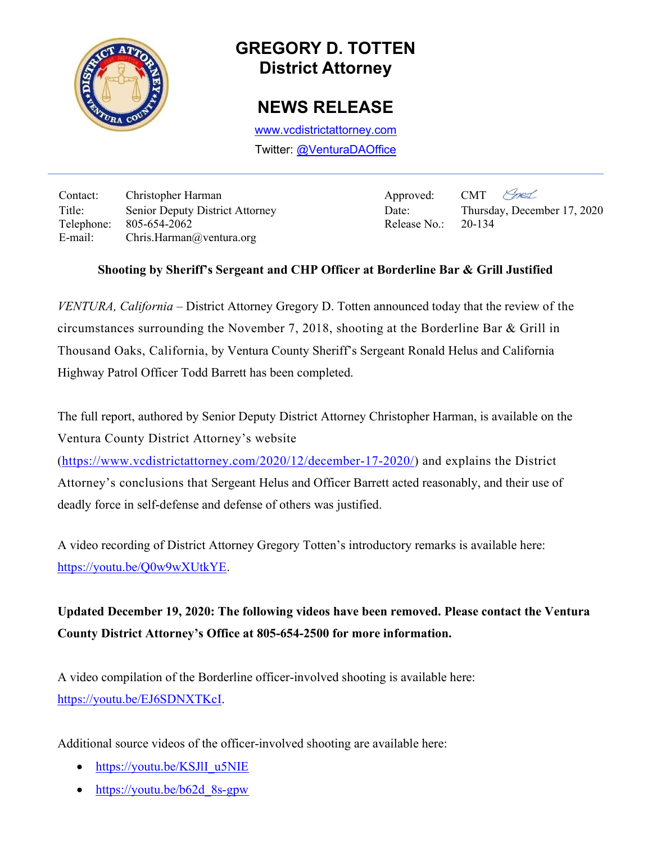

## GREGORY D. TOTTEN District Attorney

## NEWS RELEASE

www.vcdistrictattorney.com Twitter: @VenturaDAOffice

Contact: Christopher Harman Approved: CMT Title: Senior Deputy District Attorney Date: Thursday, December 17, 2020 Telephone: 805-654-2062 Release No.: 20-134 E-mail: Chris.Harman@ventura.org

Ext

## Shooting by Sheriff's Sergeant and CHP Officer at Borderline Bar & Grill Justified

VENTURA, California – District Attorney Gregory D. Totten announced today that the review of the circumstances surrounding the November 7, 2018, shooting at the Borderline Bar & Grill in Thousand Oaks, California, by Ventura County Sheriff's Sergeant Ronald Helus and California Highway Patrol Officer Todd Barrett has been completed.

The full report, authored by Senior Deputy District Attorney Christopher Harman, is available on the Ventura County District Attorney's website

(https://www.vcdistrictattorney.com/2020/12/december-17-2020/) and explains the District Attorney's conclusions that Sergeant Helus and Officer Barrett acted reasonably, and their use of deadly force in self-defense and defense of others was justified.

A video recording of District Attorney Gregory Totten's introductory remarks is available here: https://youtu.be/Q0w9wXUtkYE.

Updated December 19, 2020: The following videos have been removed. Please contact the Ventura County District Attorney's Office at 805-654-2500 for more information.

A video compilation of the Borderline officer-involved shooting is available here: https://youtu.be/EJ6SDNXTKcI.

Additional source videos of the officer-involved shooting are available here:

- https://youtu.be/KSJlI\_u5NIE
- https://youtu.be/b62d\_8s-gpw